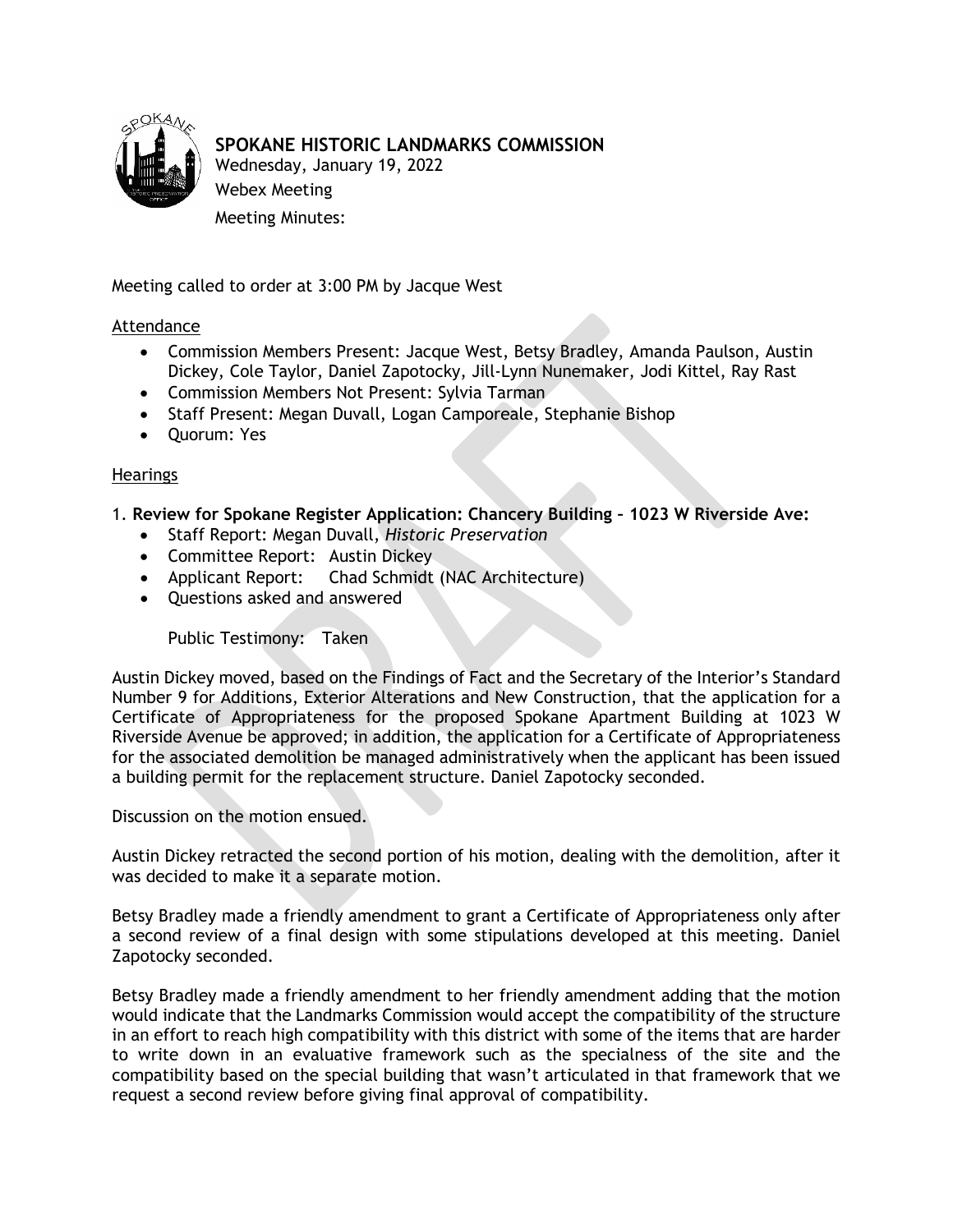

## **SPOKANE HISTORIC LANDMARKS COMMISSION**

Wednesday, January 19, 2022 Webex Meeting Meeting Minutes:

Meeting called to order at 3:00 PM by Jacque West

## Attendance

- Commission Members Present: Jacque West, Betsy Bradley, Amanda Paulson, Austin Dickey, Cole Taylor, Daniel Zapotocky, Jill-Lynn Nunemaker, Jodi Kittel, Ray Rast
- Commission Members Not Present: Sylvia Tarman
- Staff Present: Megan Duvall, Logan Camporeale, Stephanie Bishop
- Quorum: Yes

## Hearings

1. **Review for Spokane Register Application: Chancery Building – 1023 W Riverside Ave:**

- Staff Report: Megan Duvall, *Historic Preservation*
- Committee Report: Austin Dickey
- Applicant Report: Chad Schmidt (NAC Architecture)
- Questions asked and answered

Public Testimony: Taken

Austin Dickey moved, based on the Findings of Fact and the Secretary of the Interior's Standard Number 9 for Additions, Exterior Alterations and New Construction, that the application for a Certificate of Appropriateness for the proposed Spokane Apartment Building at 1023 W Riverside Avenue be approved; in addition, the application for a Certificate of Appropriateness for the associated demolition be managed administratively when the applicant has been issued a building permit for the replacement structure. Daniel Zapotocky seconded.

Discussion on the motion ensued.

Austin Dickey retracted the second portion of his motion, dealing with the demolition, after it was decided to make it a separate motion.

Betsy Bradley made a friendly amendment to grant a Certificate of Appropriateness only after a second review of a final design with some stipulations developed at this meeting. Daniel Zapotocky seconded.

Betsy Bradley made a friendly amendment to her friendly amendment adding that the motion would indicate that the Landmarks Commission would accept the compatibility of the structure in an effort to reach high compatibility with this district with some of the items that are harder to write down in an evaluative framework such as the specialness of the site and the compatibility based on the special building that wasn't articulated in that framework that we request a second review before giving final approval of compatibility.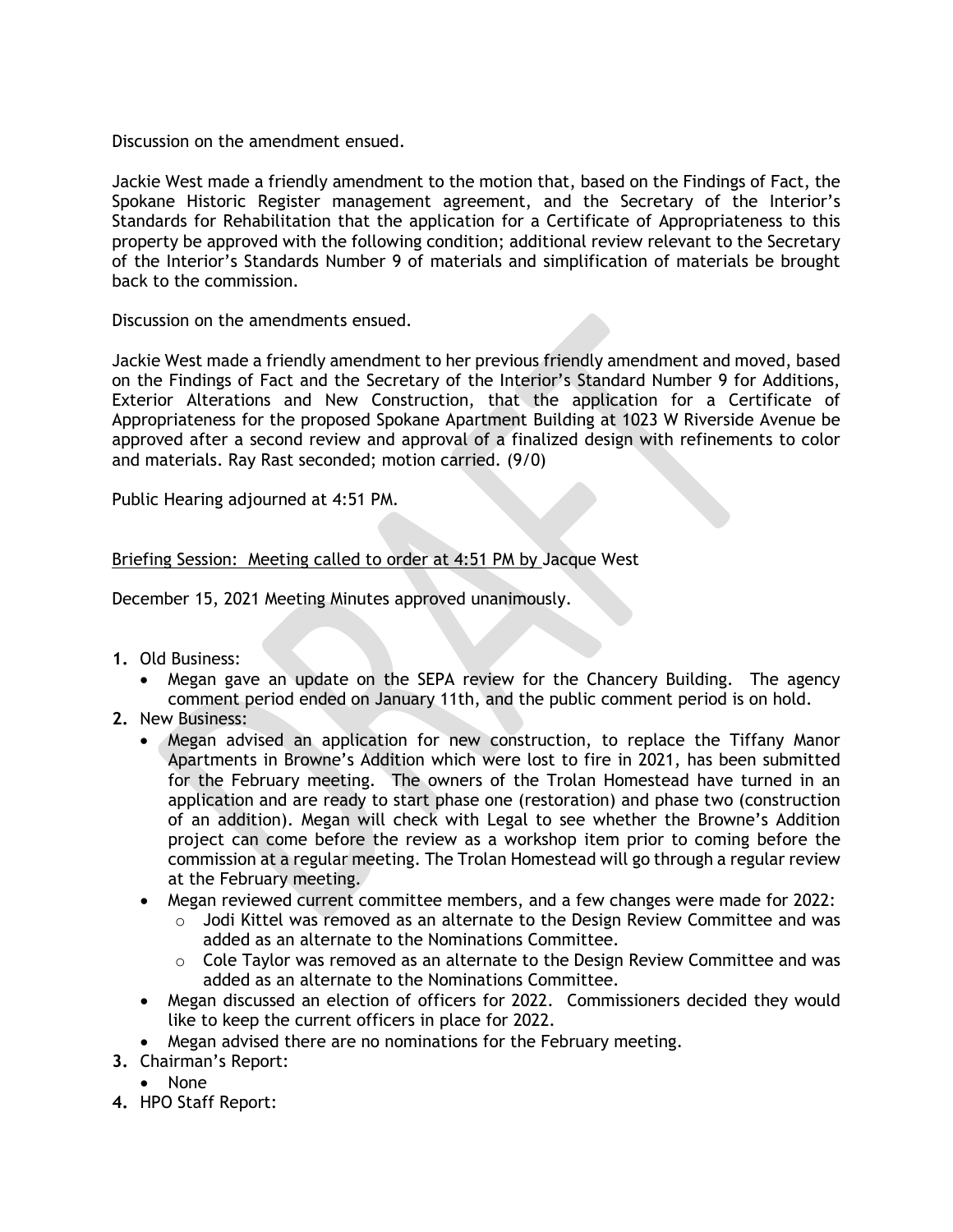Discussion on the amendment ensued.

Jackie West made a friendly amendment to the motion that, based on the Findings of Fact, the Spokane Historic Register management agreement, and the Secretary of the Interior's Standards for Rehabilitation that the application for a Certificate of Appropriateness to this property be approved with the following condition; additional review relevant to the Secretary of the Interior's Standards Number 9 of materials and simplification of materials be brought back to the commission.

Discussion on the amendments ensued.

Jackie West made a friendly amendment to her previous friendly amendment and moved, based on the Findings of Fact and the Secretary of the Interior's Standard Number 9 for Additions, Exterior Alterations and New Construction, that the application for a Certificate of Appropriateness for the proposed Spokane Apartment Building at 1023 W Riverside Avenue be approved after a second review and approval of a finalized design with refinements to color and materials. Ray Rast seconded; motion carried. (9/0)

Public Hearing adjourned at 4:51 PM.

## Briefing Session: Meeting called to order at 4:51 PM by Jacque West

December 15, 2021 Meeting Minutes approved unanimously.

- **1.** Old Business:
	- Megan gave an update on the SEPA review for the Chancery Building. The agency comment period ended on January 11th, and the public comment period is on hold.
- **2.** New Business:
	- Megan advised an application for new construction, to replace the Tiffany Manor Apartments in Browne's Addition which were lost to fire in 2021, has been submitted for the February meeting. The owners of the Trolan Homestead have turned in an application and are ready to start phase one (restoration) and phase two (construction of an addition). Megan will check with Legal to see whether the Browne's Addition project can come before the review as a workshop item prior to coming before the commission at a regular meeting. The Trolan Homestead will go through a regular review at the February meeting.
	- Megan reviewed current committee members, and a few changes were made for 2022:
		- $\circ$  Jodi Kittel was removed as an alternate to the Design Review Committee and was added as an alternate to the Nominations Committee.
		- $\circ$  Cole Taylor was removed as an alternate to the Design Review Committee and was added as an alternate to the Nominations Committee.
	- Megan discussed an election of officers for 2022. Commissioners decided they would like to keep the current officers in place for 2022.
	- Megan advised there are no nominations for the February meeting.
- **3.** Chairman's Report:
	- None
- **4.** HPO Staff Report: